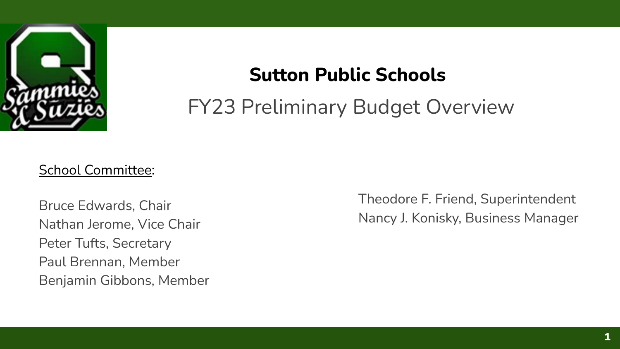

# **Sutton Public Schools**

FY23 Preliminary Budget Overview

#### School Committee:

Bruce Edwards, Chair Nathan Jerome, Vice Chair Peter Tufts, Secretary Paul Brennan, Member Benjamin Gibbons, Member Theodore F. Friend, Superintendent Nancy J. Konisky, Business Manager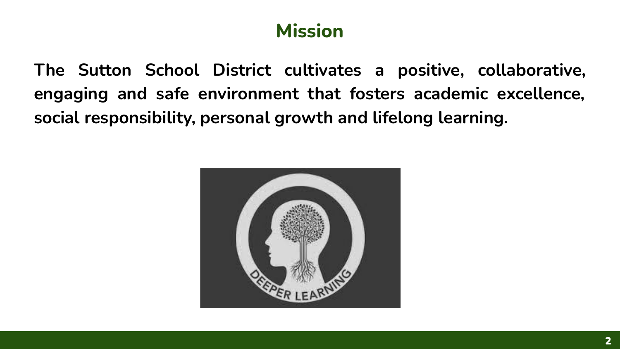## **Mission**

**The Sutton School District cultivates a positive, collaborative, engaging and safe environment that fosters academic excellence, social responsibility, personal growth and lifelong learning.**

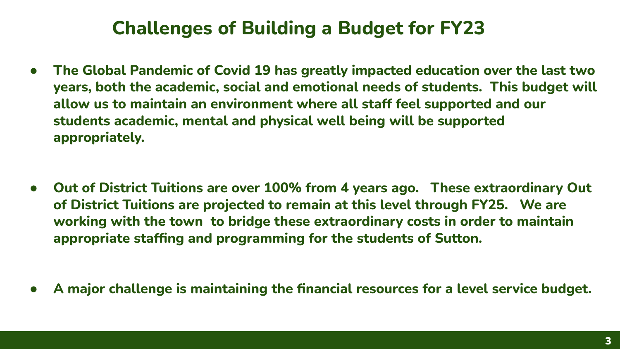#### **Challenges of Building a Budget for FY23**

**The Global Pandemic of Covid 19 has greatly impacted education over the last two years, both the academic, social and emotional needs of students. This budget will allow us to maintain an environment where all staff feel supported and our students academic, mental and physical well being will be supported appropriately.**

- **Out of District Tuitions are over 100% from 4 years ago. These extraordinary Out of District Tuitions are projected to remain at this level through FY25. We are working with the town to bridge these extraordinary costs in order to maintain appropriate staffing and programming for the students of Sutton.**
- **A major challenge is maintaining the financial resources for a level service budget.**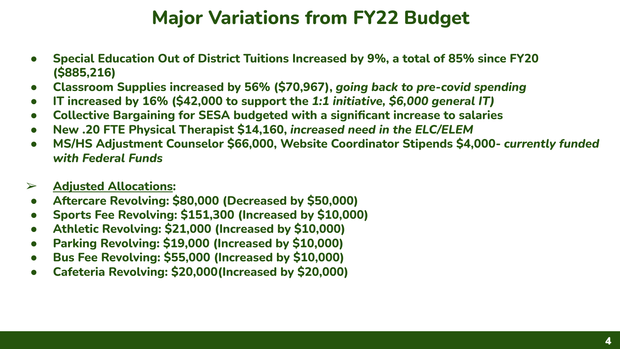#### **Major Variations from FY22 Budget**

- **Special Education Out of District Tuitions Increased by 9%, a total of 85% since FY20 (\$885,216)**
- **Classroom Supplies increased by 56% (\$70,967),** *going back to pre-covid spending*
- **IT increased by 16% (\$42,000 to support the** *1:1 initiative, \$6,000 general IT)*
- **Collective Bargaining for SESA budgeted with a significant increase to salaries**
- **New .20 FTE Physical Therapist \$14,160,** *increased need in the ELC/ELEM*
- **MS/HS Adjustment Counselor \$66,000, Website Coordinator Stipends \$4,000-** *currently funded with Federal Funds*

#### ➢ **Adjusted Allocations:**

- **Aftercare Revolving: \$80,000 (Decreased by \$50,000)**
- **Sports Fee Revolving: \$151,300 (Increased by \$10,000)**
- **Athletic Revolving: \$21,000 (Increased by \$10,000)**
- Parking Revolving: \$19,000 (Increased by \$10,000)
- **Bus Fee Revolving: \$55,000 (Increased by \$10,000)**
- **Cafeteria Revolving: \$20,000(Increased by \$20,000)**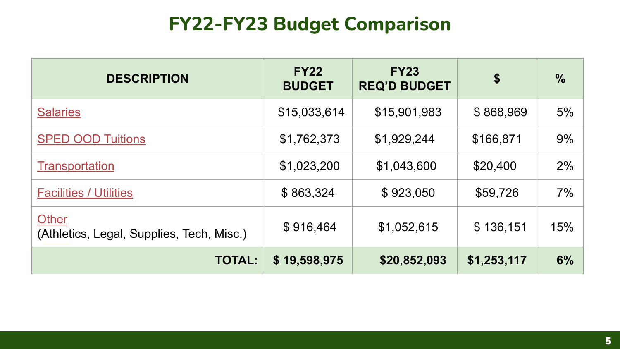## **FY22-FY23 Budget Comparison**

| <b>DESCRIPTION</b>                                 | <b>FY22</b><br><b>BUDGET</b> | <b>FY23</b><br><b>REQ'D BUDGET</b> | $\boldsymbol{\hat{s}}$ | $\%$ |
|----------------------------------------------------|------------------------------|------------------------------------|------------------------|------|
| <b>Salaries</b>                                    | \$15,033,614                 | \$15,901,983                       | \$868,969              | 5%   |
| <b>SPED OOD Tuitions</b>                           | \$1,762,373                  | \$1,929,244                        | \$166,871              | 9%   |
| Transportation                                     | \$1,023,200                  | \$1,043,600                        | \$20,400               | 2%   |
| <b>Facilities / Utilities</b>                      | \$863,324                    | \$923,050                          | \$59,726               | 7%   |
| Other<br>(Athletics, Legal, Supplies, Tech, Misc.) | \$916,464                    | \$1,052,615                        | \$136,151              | 15%  |
| <b>TOTAL:</b>                                      | \$19,598,975                 | \$20,852,093                       | \$1,253,117            | 6%   |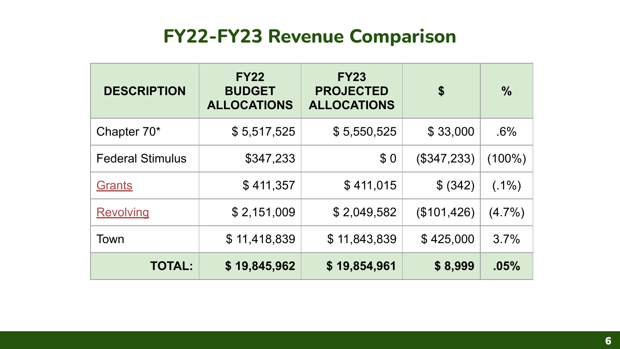#### **FY22-FY23 Revenue Comparison**

| <b>DESCRIPTION</b>      | <b>FY22</b><br><b>BUDGET</b><br><b>ALLOCATIONS</b> | <b>FY23</b><br><b>PROJECTED</b><br><b>ALLOCATIONS</b> | \$            | $\frac{9}{6}$ |
|-------------------------|----------------------------------------------------|-------------------------------------------------------|---------------|---------------|
| Chapter 70*             | \$5,517,525                                        | \$5,550,525                                           | \$33,000      | .6%           |
| <b>Federal Stimulus</b> | \$347,233                                          | \$0                                                   | $(\$347,233)$ | $(100\%)$     |
| Grants                  | \$411,357                                          | \$411,015                                             | \$ (342)      | $(.1\%)$      |
| <b>Revolving</b>        | \$2,151,009                                        | \$2,049,582                                           | (\$101,426)   | (4.7%)        |
| Town                    | \$11,418,839                                       | \$11,843,839                                          | \$425,000     | 3.7%          |
| <b>TOTAL:</b>           | \$19,845,962                                       | \$19,854,961                                          | \$8,999       | .05%          |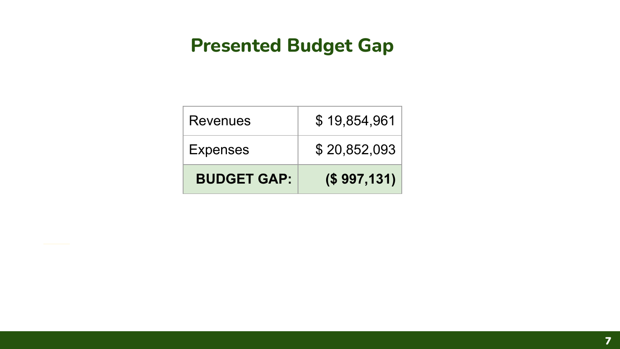#### **Presented Budget Gap**

| Revenues           | \$19,854,961 |
|--------------------|--------------|
| <b>Expenses</b>    | \$20,852,093 |
| <b>BUDGET GAP:</b> | (S 997, 131) |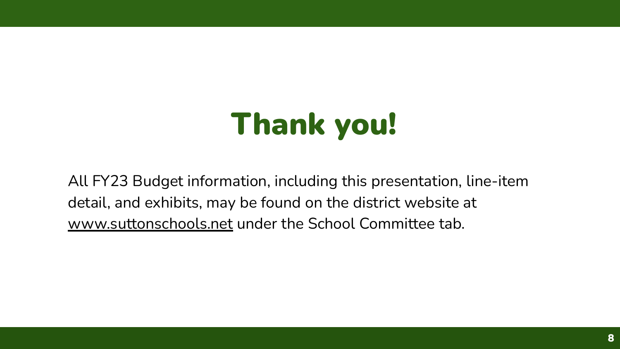# Thank you!

All FY23 Budget information, including this presentation, line-item detail, and exhibits, may be found on the district website at [www.suttonschools.net](http://www.suttonschools.net) under the School Committee tab.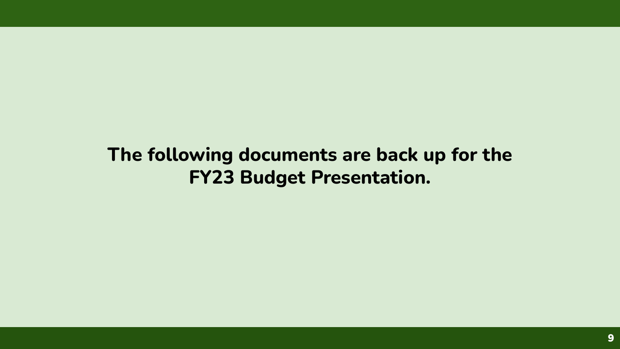**The following documents are back up for the FY23 Budget Presentation.**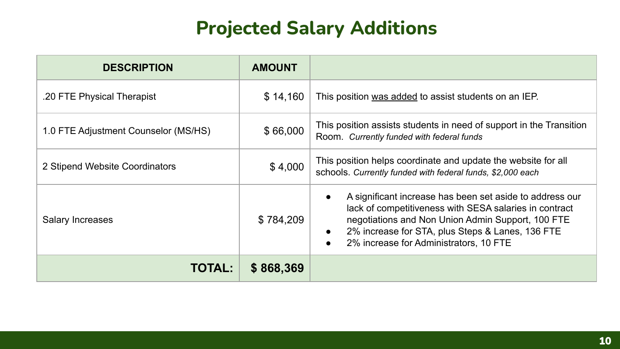### **Projected Salary Additions**

<span id="page-9-0"></span>

| <b>DESCRIPTION</b>                   | <b>AMOUNT</b> |                                                                                                                                                                                                                                                                                                 |  |  |
|--------------------------------------|---------------|-------------------------------------------------------------------------------------------------------------------------------------------------------------------------------------------------------------------------------------------------------------------------------------------------|--|--|
| .20 FTE Physical Therapist           | \$14,160      | This position was added to assist students on an IEP.                                                                                                                                                                                                                                           |  |  |
| 1.0 FTE Adjustment Counselor (MS/HS) | \$66,000      | This position assists students in need of support in the Transition<br>Room. Currently funded with federal funds                                                                                                                                                                                |  |  |
| 2 Stipend Website Coordinators       | \$4,000       | This position helps coordinate and update the website for all<br>schools. Currently funded with federal funds, \$2,000 each                                                                                                                                                                     |  |  |
| Salary Increases                     | \$784,209     | A significant increase has been set aside to address our<br>lack of competitiveness with SESA salaries in contract<br>negotiations and Non Union Admin Support, 100 FTE<br>2% increase for STA, plus Steps & Lanes, 136 FTE<br>$\bullet$<br>2% increase for Administrators, 10 FTE<br>$\bullet$ |  |  |
| <b>TOTAL:</b>                        | \$868,369     |                                                                                                                                                                                                                                                                                                 |  |  |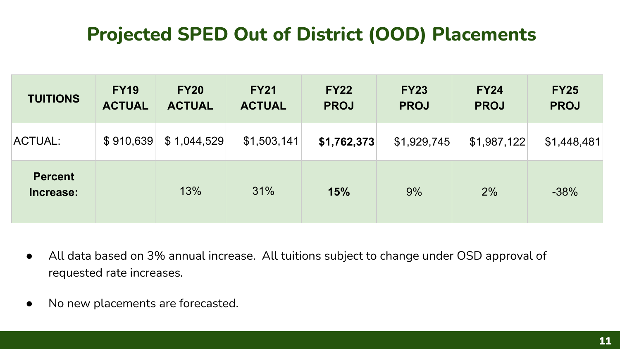# **Projected SPED Out of District (OOD) Placements**

<span id="page-10-0"></span>

| <b>TUITIONS</b>             | <b>FY19</b><br><b>ACTUAL</b> | <b>FY20</b><br><b>ACTUAL</b> | <b>FY21</b><br><b>ACTUAL</b> | <b>FY22</b><br><b>PROJ</b> | <b>FY23</b><br><b>PROJ</b> | <b>FY24</b><br><b>PROJ</b> | <b>FY25</b><br><b>PROJ</b> |
|-----------------------------|------------------------------|------------------------------|------------------------------|----------------------------|----------------------------|----------------------------|----------------------------|
| ACTUAL:                     | \$910,639                    | \$1,044,529                  | \$1,503,141                  | \$1,762,373                | \$1,929,745                | \$1,987,122                | \$1,448,481                |
| <b>Percent</b><br>Increase: |                              | 13%                          | 31%                          | 15%                        | 9%                         | 2%                         | $-38%$                     |

- All data based on 3% annual increase. All tuitions subject to change under OSD approval of requested rate increases.
- No new placements are forecasted.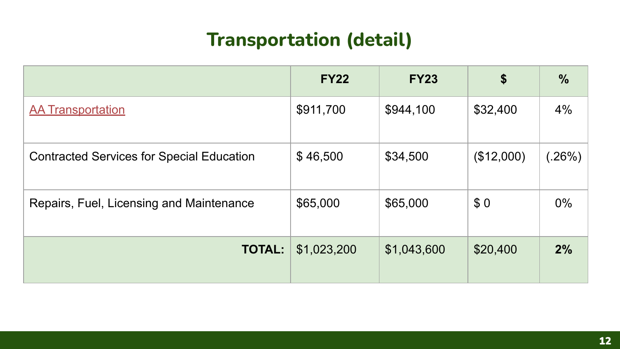# **Transportation (detail)**

<span id="page-11-0"></span>

|                                                  | <b>FY22</b> | <b>FY23</b> | \$         | %             |
|--------------------------------------------------|-------------|-------------|------------|---------------|
| <b>AA Transportation</b>                         | \$911,700   | \$944,100   | \$32,400   | 4%            |
| <b>Contracted Services for Special Education</b> | \$46,500    | \$34,500    | (\$12,000) | $(.26\%)$ $ $ |
| Repairs, Fuel, Licensing and Maintenance         | \$65,000    | \$65,000    | \$0        | $0\%$         |
| <b>TOTAL:</b>                                    | \$1,023,200 | \$1,043,600 | \$20,400   | 2%            |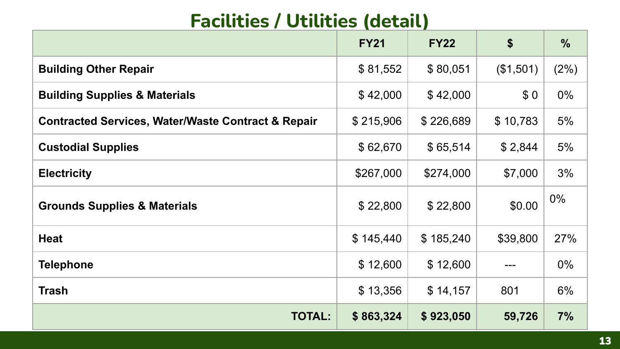# **Facilities / Utilities (detail)**

<span id="page-12-0"></span>

|                                                               | <b>FY21</b> | <b>FY22</b> | \$        | %     |
|---------------------------------------------------------------|-------------|-------------|-----------|-------|
| <b>Building Other Repair</b>                                  | \$81,552    | \$80,051    | (\$1,501) | (2%)  |
| <b>Building Supplies &amp; Materials</b>                      | \$42,000    | \$42,000    | \$0       | $0\%$ |
| <b>Contracted Services, Water/Waste Contract &amp; Repair</b> | \$215,906   | \$226,689   | \$10,783  | 5%    |
| <b>Custodial Supplies</b>                                     | \$62,670    | \$65,514    | \$2,844   | 5%    |
| <b>Electricity</b>                                            | \$267,000   | \$274,000   | \$7,000   | 3%    |
| <b>Grounds Supplies &amp; Materials</b>                       | \$22,800    | \$22,800    | \$0.00    | $0\%$ |
| <b>Heat</b>                                                   | \$145,440   | \$185,240   | \$39,800  | 27%   |
| <b>Telephone</b>                                              | \$12,600    | \$12,600    |           | $0\%$ |
| <b>Trash</b>                                                  | \$13,356    | \$14,157    | 801       | 6%    |
| <b>TOTAL:</b>                                                 | \$863,324   | \$923,050   | 59,726    | 7%    |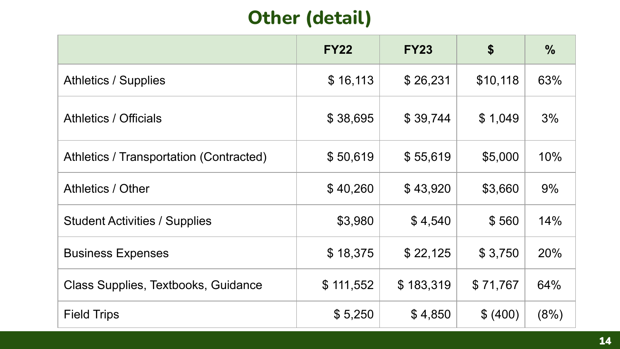# **Other (detail)**

<span id="page-13-0"></span>

|                                         | <b>FY22</b> | <b>FY23</b> | \$       | $\frac{0}{0}$ |
|-----------------------------------------|-------------|-------------|----------|---------------|
| <b>Athletics / Supplies</b>             | \$16,113    | \$26,231    | \$10,118 | 63%           |
| Athletics / Officials                   | \$38,695    | \$39,744    | \$1,049  | 3%            |
| Athletics / Transportation (Contracted) | \$50,619    | \$55,619    | \$5,000  | 10%           |
| Athletics / Other                       | \$40,260    | \$43,920    | \$3,660  | 9%            |
| <b>Student Activities / Supplies</b>    | \$3,980     | \$4,540     | \$560    | 14%           |
| <b>Business Expenses</b>                | \$18,375    | \$22,125    | \$3,750  | 20%           |
| Class Supplies, Textbooks, Guidance     | \$111,552   | \$183,319   | \$71,767 | 64%           |
| <b>Field Trips</b>                      | \$5,250     | \$4,850     | \$ (400) | (8%)          |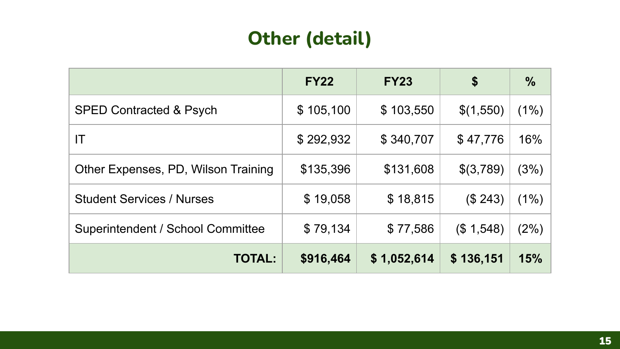### **Other (detail)**

|                                     | <b>FY22</b> | <b>FY23</b> | \$        | $\frac{0}{0}$ |
|-------------------------------------|-------------|-------------|-----------|---------------|
| <b>SPED Contracted &amp; Psych</b>  | \$105,100   | \$103,550   | \$(1,550) | (1%)          |
| IT                                  | \$292,932   | \$340,707   | \$47,776  | 16%           |
| Other Expenses, PD, Wilson Training | \$135,396   | \$131,608   | \$(3,789) | (3%)          |
| <b>Student Services / Nurses</b>    | \$19,058    | \$18,815    | (\$243)   | (1%)          |
| Superintendent / School Committee   | \$79,134    | \$77,586    | (\$1,548) | (2%)          |
| <b>TOTAL:</b>                       | \$916,464   | \$1,052,614 | \$136,151 | 15%           |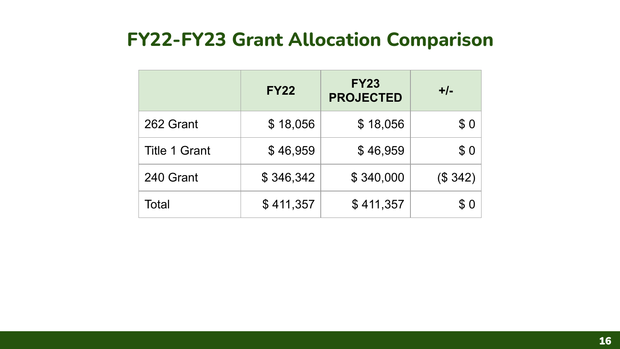#### <span id="page-15-0"></span>**FY22-FY23 Grant Allocation Comparison**

|                      | <b>FY22</b> | <b>FY23</b><br><b>PROJECTED</b> | $+/-$   |
|----------------------|-------------|---------------------------------|---------|
| 262 Grant            | \$18,056    | \$18,056                        | \$0     |
| <b>Title 1 Grant</b> | \$46,959    | \$46,959                        | \$0     |
| 240 Grant            | \$346,342   | \$340,000                       | (\$342) |
| Total                | \$411,357   | \$411,357                       | \$0     |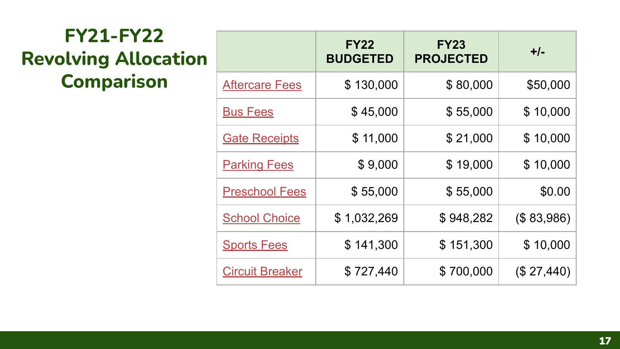# <span id="page-16-0"></span>**FY21-FY22 Revolving Allocation Comparison**

|                        | <b>FY22</b><br><b>BUDGETED</b> | <b>FY23</b><br><b>PROJECTED</b> | $+/-$      |
|------------------------|--------------------------------|---------------------------------|------------|
| <b>Aftercare Fees</b>  | \$130,000                      | \$80,000                        | \$50,000   |
| <b>Bus Fees</b>        | \$45,000                       | \$55,000                        | \$10,000   |
| <b>Gate Receipts</b>   | \$11,000                       | \$21,000                        | \$10,000   |
| <b>Parking Fees</b>    | \$9,000                        | \$19,000                        | \$10,000   |
| <b>Preschool Fees</b>  | \$55,000                       | \$55,000                        | \$0.00     |
| <b>School Choice</b>   | \$1,032,269                    | \$948,282                       | (\$83,986) |
| <b>Sports Fees</b>     | \$141,300                      | \$151,300                       | \$10,000   |
| <b>Circuit Breaker</b> | \$727,440                      | \$700,000                       | (\$27,440) |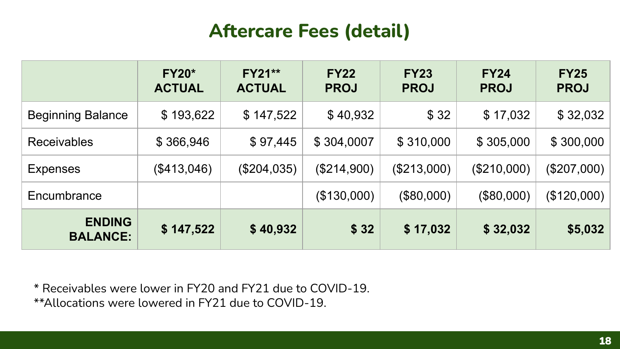#### **Aftercare Fees (detail)**

<span id="page-17-0"></span>

|                                  | <b>FY20*</b><br><b>ACTUAL</b> | <b>FY21**</b><br><b>ACTUAL</b> | <b>FY22</b><br><b>PROJ</b> | <b>FY23</b><br><b>PROJ</b> | <b>FY24</b><br><b>PROJ</b> | <b>FY25</b><br><b>PROJ</b> |
|----------------------------------|-------------------------------|--------------------------------|----------------------------|----------------------------|----------------------------|----------------------------|
| <b>Beginning Balance</b>         | \$193,622                     | \$147,522                      | \$40,932                   | \$32                       | \$17,032                   | \$32,032                   |
| <b>Receivables</b>               | \$366,946                     | \$97,445                       | \$304,0007                 | \$310,000                  | \$305,000                  | \$300,000                  |
| <b>Expenses</b>                  | (\$413,046)                   | $(\$204,035)$                  | $(\$214,900)$              | (\$213,000)                | (\$210,000)                | $(\$207,000)$              |
| Encumbrance                      |                               |                                | (\$130,000)                | (\$80,000)                 | (\$80,000)                 | (\$120,000)                |
| <b>ENDING</b><br><b>BALANCE:</b> | \$147,522                     | \$40,932                       | \$32                       | \$17,032                   | \$32,032                   | \$5,032                    |

\* Receivables were lower in FY20 and FY21 due to COVID-19. \*\*Allocations were lowered in FY21 due to COVID-19.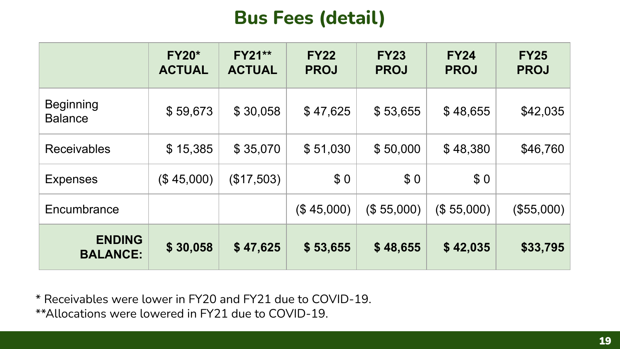#### **Bus Fees (detail)**

<span id="page-18-0"></span>

|                                    | <b>FY20*</b><br><b>ACTUAL</b> | <b>FY21**</b><br><b>ACTUAL</b> | <b>FY22</b><br><b>PROJ</b> | <b>FY23</b><br><b>PROJ</b> | <b>FY24</b><br><b>PROJ</b> | <b>FY25</b><br><b>PROJ</b> |
|------------------------------------|-------------------------------|--------------------------------|----------------------------|----------------------------|----------------------------|----------------------------|
| <b>Beginning</b><br><b>Balance</b> | \$59,673                      | \$30,058                       | \$47,625                   | \$53,655                   | \$48,655                   | \$42,035                   |
| <b>Receivables</b>                 | \$15,385                      | \$35,070                       | \$51,030                   | \$50,000                   |                            | \$46,760                   |
| <b>Expenses</b>                    | (\$45,000)                    | (\$17,503)                     | \$0                        | \$0                        | \$0                        |                            |
| Encumbrance                        |                               |                                | (\$45,000)                 | (\$55,000)                 | (\$55,000)                 | (\$55,000)                 |
| <b>ENDING</b><br><b>BALANCE:</b>   | \$30,058                      | \$47,625                       | \$53,655                   | \$48,655                   | \$42,035                   | \$33,795                   |

\* Receivables were lower in FY20 and FY21 due to COVID-19.

\*\*Allocations were lowered in FY21 due to COVID-19.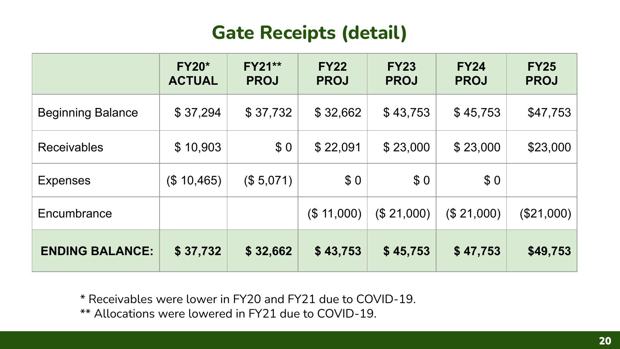#### **Gate Receipts (detail)**

<span id="page-19-0"></span>

|                          | <b>FY20*</b><br><b>ACTUAL</b> | <b>FY21**</b><br><b>PROJ</b> | <b>FY22</b><br><b>PROJ</b> | <b>FY23</b><br><b>PROJ</b> | <b>FY24</b><br><b>PROJ</b> | <b>FY25</b><br><b>PROJ</b> |
|--------------------------|-------------------------------|------------------------------|----------------------------|----------------------------|----------------------------|----------------------------|
| <b>Beginning Balance</b> | \$37,294                      | \$37,732                     | \$32,662                   | \$43,753                   | \$45,753                   | \$47,753                   |
| <b>Receivables</b>       | \$10,903                      | \$0                          | \$22,091<br>\$23,000       |                            | \$23,000                   | \$23,000                   |
| <b>Expenses</b>          | (\$10,465)                    | (\$5,071)                    | \$0                        | \$0                        | \$0                        |                            |
| Encumbrance              |                               |                              | (\$ 11,000)                | (\$21,000)                 | (\$21,000)                 | $(\$21,000)$               |
| <b>ENDING BALANCE:</b>   | \$37,732                      | \$32,662                     | \$43,753                   | \$45,753                   | \$47,753                   | \$49,753                   |

\* Receivables were lower in FY20 and FY21 due to COVID-19.

\*\* Allocations were lowered in FY21 due to COVID-19.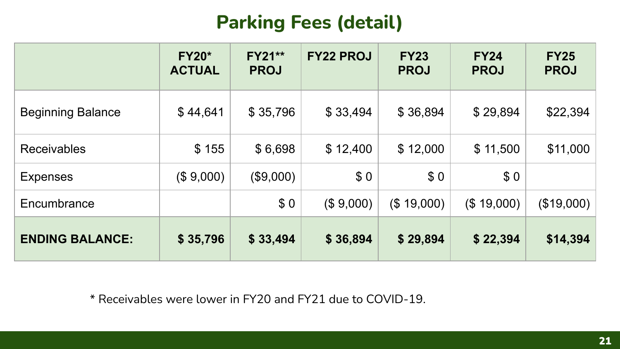# **Parking Fees (detail)**

<span id="page-20-0"></span>

|                          | <b>FY20*</b><br><b>ACTUAL</b> | <b>FY21**</b><br><b>PROJ</b> | <b>FY22 PROJ</b> | <b>FY23</b><br><b>PROJ</b> | <b>FY24</b><br><b>PROJ</b> | <b>FY25</b><br><b>PROJ</b> |
|--------------------------|-------------------------------|------------------------------|------------------|----------------------------|----------------------------|----------------------------|
| <b>Beginning Balance</b> | \$44,641                      | \$35,796                     | \$33,494         | \$36,894                   | \$29,894                   | \$22,394                   |
| <b>Receivables</b>       | \$155                         | \$6,698                      | \$12,400         | \$12,000                   | \$11,500                   | \$11,000                   |
| <b>Expenses</b>          | (\$9,000)                     | (\$9,000)                    | \$0              | \$0                        | \$0                        |                            |
| Encumbrance              |                               | \$0                          | (\$9,000)        | (\$19,000)                 | (\$19,000)                 | $(\$19,000)$               |
| <b>ENDING BALANCE:</b>   | \$35,796                      | \$33,494                     | \$36,894         | \$29,894                   | \$22,394                   | \$14,394                   |

\* Receivables were lower in FY20 and FY21 due to COVID-19.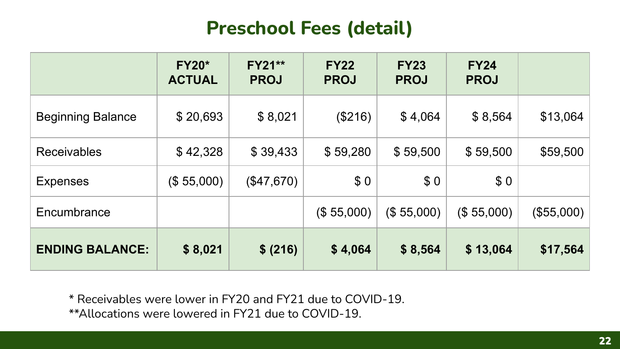#### **Preschool Fees (detail)**

<span id="page-21-0"></span>

|                          | <b>FY20*</b><br><b>ACTUAL</b> | <b>FY21**</b><br><b>PROJ</b> | <b>FY22</b><br><b>PROJ</b> | <b>FY23</b><br><b>PROJ</b> | <b>FY24</b><br><b>PROJ</b> |            |
|--------------------------|-------------------------------|------------------------------|----------------------------|----------------------------|----------------------------|------------|
| <b>Beginning Balance</b> | \$20,693                      | \$8,021                      | (\$216)                    | \$4,064                    | \$8,564                    | \$13,064   |
| <b>Receivables</b>       | \$42,328                      | \$39,433                     | \$59,280                   | \$59,500                   | \$59,500                   | \$59,500   |
| <b>Expenses</b>          | (\$55,000)                    | (\$47,670)                   | \$0                        | \$0                        | \$0                        |            |
| Encumbrance              |                               |                              | (\$55,000)                 | (\$55,000)                 | (\$55,000)                 | (\$55,000) |
| <b>ENDING BALANCE:</b>   | \$8,021                       | \$ (216)                     | \$4,064                    | \$8,564                    | \$13,064                   | \$17,564   |

\* Receivables were lower in FY20 and FY21 due to COVID-19.

\*\*Allocations were lowered in FY21 due to COVID-19.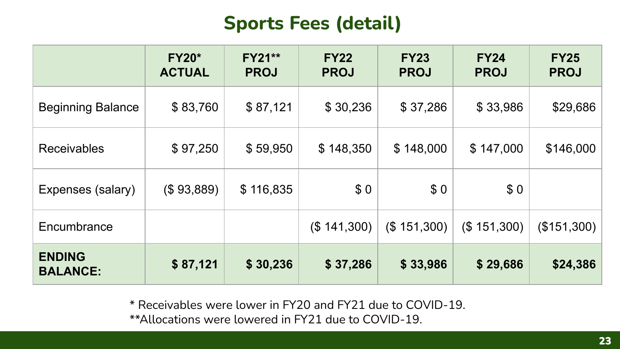#### **Sports Fees (detail)**

<span id="page-22-0"></span>

|                                  | <b>FY20*</b><br><b>ACTUAL</b> | <b>FY21**</b><br><b>PROJ</b> | <b>FY22</b><br><b>PROJ</b> | <b>FY23</b><br><b>PROJ</b> | <b>FY24</b><br><b>PROJ</b> | <b>FY25</b><br><b>PROJ</b> |
|----------------------------------|-------------------------------|------------------------------|----------------------------|----------------------------|----------------------------|----------------------------|
| <b>Beginning Balance</b>         | \$83,760                      | \$87,121                     | \$30,236                   | \$37,286                   | \$33,986                   | \$29,686                   |
| <b>Receivables</b>               | \$97,250                      | \$59,950                     | \$148,350                  | \$148,000                  | \$147,000                  | \$146,000                  |
| Expenses (salary)                | (\$93,889)                    | \$116,835                    | \$0                        | \$0                        | \$0                        |                            |
| Encumbrance                      |                               |                              | (\$141,300)                | (\$151,300)                | (\$151,300)                | (\$151,300)                |
| <b>ENDING</b><br><b>BALANCE:</b> | \$87,121                      | \$30,236                     | \$37,286                   | \$33,986                   | \$29,686                   | \$24,386                   |

\* Receivables were lower in FY20 and FY21 due to COVID-19. \*\*Allocations were lowered in FY21 due to COVID-19.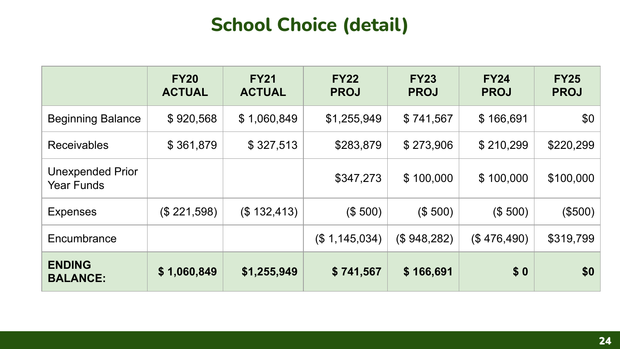# **School Choice (detail)**

<span id="page-23-0"></span>

|                                              | <b>FY20</b><br><b>ACTUAL</b> | <b>FY21</b><br><b>ACTUAL</b> | <b>FY22</b><br><b>PROJ</b> | <b>FY23</b><br><b>PROJ</b> | <b>FY24</b><br><b>PROJ</b> | <b>FY25</b><br><b>PROJ</b> |
|----------------------------------------------|------------------------------|------------------------------|----------------------------|----------------------------|----------------------------|----------------------------|
| <b>Beginning Balance</b>                     | \$920,568                    | \$1,060,849                  | \$1,255,949                | \$741,567                  | \$166,691                  | \$0                        |
| <b>Receivables</b>                           | \$361,879                    | \$327,513                    | \$283,879                  | \$273,906                  | \$210,299                  | \$220,299                  |
| <b>Unexpended Prior</b><br><b>Year Funds</b> |                              |                              | \$347,273                  | \$100,000                  | \$100,000                  | \$100,000                  |
| <b>Expenses</b>                              | (\$221,598)                  | (\$132,413)                  | (\$500)                    | (\$500)                    | (\$500)                    | (\$500)                    |
| Encumbrance                                  |                              |                              | (\$1,145,034)              | (\$948,282)                | (\$476,490)                | \$319,799                  |
| <b>ENDING</b><br><b>BALANCE:</b>             | \$1,060,849                  | \$1,255,949                  | \$741,567                  | \$166,691                  | \$0                        | \$0                        |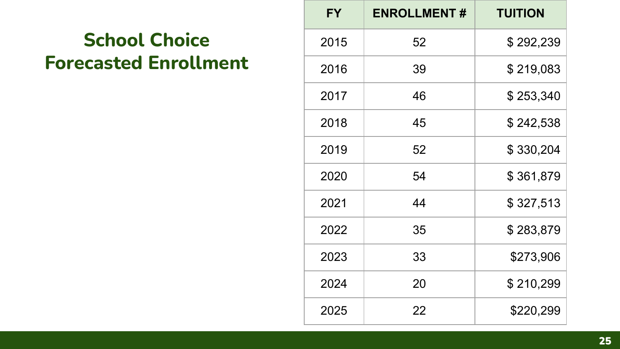# **School Choice Forecasted Enrollment**

| <b>FY</b> | <b>ENROLLMENT#</b> | <b>TUITION</b> |
|-----------|--------------------|----------------|
| 2015      | 52                 | \$292,239      |
| 2016      | 39                 | \$219,083      |
| 2017      | 46                 | \$253,340      |
| 2018      | 45                 | \$242,538      |
| 2019      | 52                 | \$330,204      |
| 2020      | 54                 | \$361,879      |
| 2021      | 44                 | \$327,513      |
| 2022      | 35                 | \$283,879      |
| 2023      | 33                 | \$273,906      |
| 2024      | 20                 | \$210,299      |
| 2025      | 22                 | \$220,299      |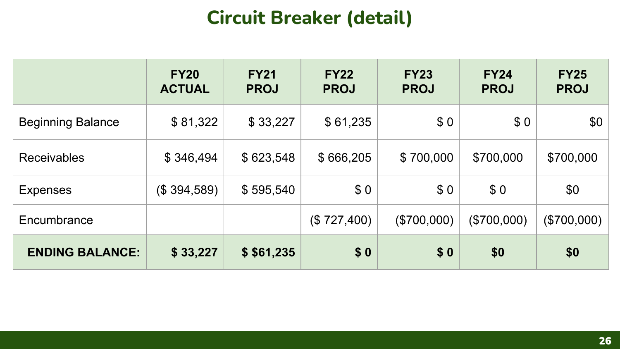# **Circuit Breaker (detail)**

<span id="page-25-0"></span>

|                          | <b>FY20</b><br><b>ACTUAL</b> | <b>FY21</b><br><b>PROJ</b> | <b>FY22</b><br><b>PROJ</b> | <b>FY23</b><br><b>PROJ</b> | <b>FY24</b><br><b>PROJ</b> | <b>FY25</b><br><b>PROJ</b> |
|--------------------------|------------------------------|----------------------------|----------------------------|----------------------------|----------------------------|----------------------------|
| <b>Beginning Balance</b> | \$81,322                     | \$33,227                   | \$61,235                   | \$0                        | \$0                        | \$0                        |
| <b>Receivables</b>       | \$346,494                    | \$623,548                  | \$666,205                  | \$700,000                  | \$700,000                  | \$700,000                  |
| <b>Expenses</b>          | (\$394,589)                  | \$595,540                  | \$0                        | \$0                        | \$0                        | \$0                        |
| Encumbrance              |                              |                            | (\$727,400)                | (\$700,000)                | $(\$700,000)$              | $(\$700,000)$              |
| <b>ENDING BALANCE:</b>   | \$33,227                     | \$ \$61,235                | \$0                        | \$0                        | \$0                        | \$0                        |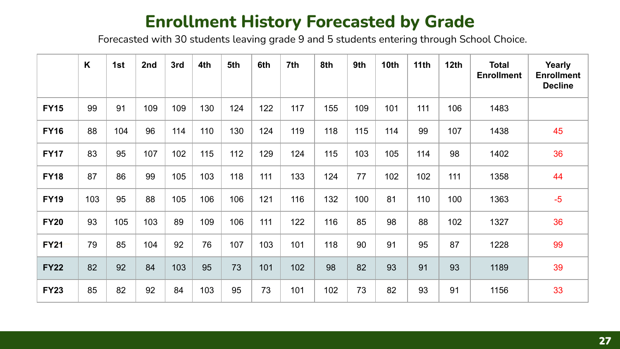#### **Enrollment History Forecasted by Grade**

Forecasted with 30 students leaving grade 9 and 5 students entering through School Choice.

|             | $\mathsf{K}$ | 1st | 2nd | 3rd | 4th | 5th | 6th | 7th | 8th | 9th | 10th | 11th | 12th | <b>Total</b><br><b>Enrollment</b> | Yearly<br><b>Enrollment</b><br><b>Decline</b> |
|-------------|--------------|-----|-----|-----|-----|-----|-----|-----|-----|-----|------|------|------|-----------------------------------|-----------------------------------------------|
| <b>FY15</b> | 99           | 91  | 109 | 109 | 130 | 124 | 122 | 117 | 155 | 109 | 101  | 111  | 106  | 1483                              |                                               |
| <b>FY16</b> | 88           | 104 | 96  | 114 | 110 | 130 | 124 | 119 | 118 | 115 | 114  | 99   | 107  | 1438                              | 45                                            |
| <b>FY17</b> | 83           | 95  | 107 | 102 | 115 | 112 | 129 | 124 | 115 | 103 | 105  | 114  | 98   | 1402                              | 36                                            |
| <b>FY18</b> | 87           | 86  | 99  | 105 | 103 | 118 | 111 | 133 | 124 | 77  | 102  | 102  | 111  | 1358                              | 44                                            |
| <b>FY19</b> | 103          | 95  | 88  | 105 | 106 | 106 | 121 | 116 | 132 | 100 | 81   | 110  | 100  | 1363                              | $-5$                                          |
| <b>FY20</b> | 93           | 105 | 103 | 89  | 109 | 106 | 111 | 122 | 116 | 85  | 98   | 88   | 102  | 1327                              | 36                                            |
| <b>FY21</b> | 79           | 85  | 104 | 92  | 76  | 107 | 103 | 101 | 118 | 90  | 91   | 95   | 87   | 1228                              | 99                                            |
| <b>FY22</b> | 82           | 92  | 84  | 103 | 95  | 73  | 101 | 102 | 98  | 82  | 93   | 91   | 93   | 1189                              | 39                                            |
| <b>FY23</b> | 85           | 82  | 92  | 84  | 103 | 95  | 73  | 101 | 102 | 73  | 82   | 93   | 91   | 1156                              | 33                                            |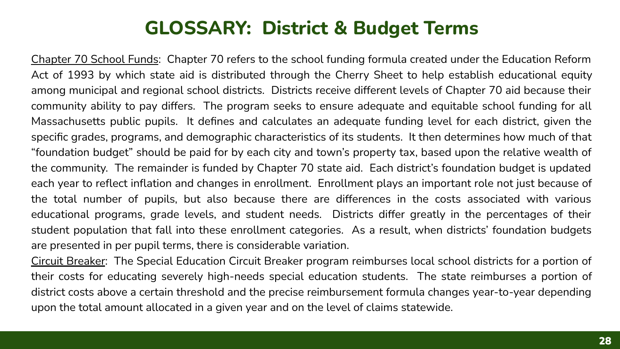#### **GLOSSARY: District & Budget Terms**

Chapter 70 School Funds: Chapter 70 refers to the school funding formula created under the Education Reform Act of 1993 by which state aid is distributed through the Cherry Sheet to help establish educational equity among municipal and regional school districts. Districts receive different levels of Chapter 70 aid because their community ability to pay differs. The program seeks to ensure adequate and equitable school funding for all Massachusetts public pupils. It defines and calculates an adequate funding level for each district, given the specific grades, programs, and demographic characteristics of its students. It then determines how much of that "foundation budget" should be paid for by each city and town's property tax, based upon the relative wealth of the community. The remainder is funded by Chapter 70 state aid. Each district's foundation budget is updated each year to reflect inflation and changes in enrollment. Enrollment plays an important role not just because of the total number of pupils, but also because there are differences in the costs associated with various educational programs, grade levels, and student needs. Districts differ greatly in the percentages of their student population that fall into these enrollment categories. As a result, when districts' foundation budgets are presented in per pupil terms, there is considerable variation.

Circuit Breaker: The Special Education Circuit Breaker program reimburses local school districts for a portion of their costs for educating severely high-needs special education students. The state reimburses a portion of district costs above a certain threshold and the precise reimbursement formula changes year-to-year depending upon the total amount allocated in a given year and on the level of claims statewide.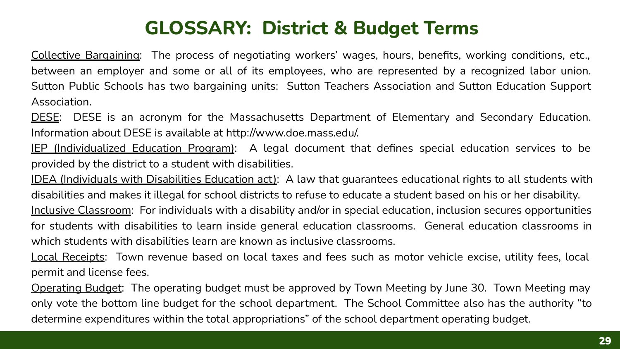# **GLOSSARY: District & Budget Terms**

Collective Bargaining: The process of negotiating workers' wages, hours, benefits, working conditions, etc., between an employer and some or all of its employees, who are represented by a recognized labor union. Sutton Public Schools has two bargaining units: Sutton Teachers Association and Sutton Education Support Association.

DESE: DESE is an acronym for the Massachusetts Department of Elementary and Secondary Education. Information about DESE is available at http://www.doe.mass.edu/.

IEP (Individualized Education Program): A legal document that defines special education services to be provided by the district to a student with disabilities.

IDEA (Individuals with Disabilities Education act): A law that guarantees educational rights to all students with disabilities and makes it illegal for school districts to refuse to educate a student based on his or her disability. Inclusive Classroom: For individuals with a disability and/or in special education, inclusion secures opportunities for students with disabilities to learn inside general education classrooms. General education classrooms in which students with disabilities learn are known as inclusive classrooms.

Local Receipts: Town revenue based on local taxes and fees such as motor vehicle excise, utility fees, local permit and license fees.

Operating Budget: The operating budget must be approved by Town Meeting by June 30. Town Meeting may only vote the bottom line budget for the school department. The School Committee also has the authority "to determine expenditures within the total appropriations" of the school department operating budget.